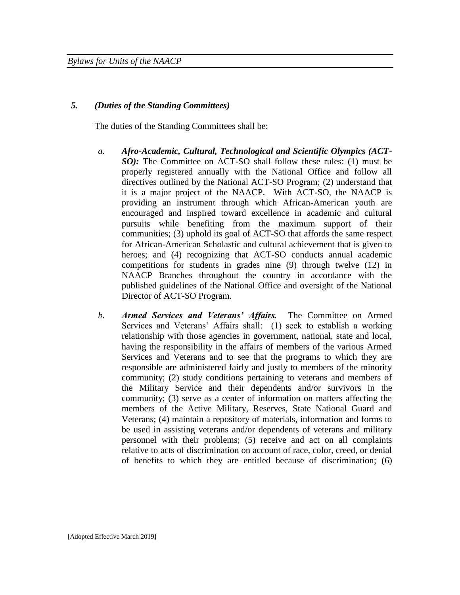## *5. (Duties of the Standing Committees)*

The duties of the Standing Committees shall be:

- *a. Afro-Academic, Cultural, Technological and Scientific Olympics (ACT-SO*): The Committee on ACT-SO shall follow these rules: (1) must be properly registered annually with the National Office and follow all directives outlined by the National ACT-SO Program; (2) understand that it is a major project of the NAACP. With ACT-SO, the NAACP is providing an instrument through which African-American youth are encouraged and inspired toward excellence in academic and cultural pursuits while benefiting from the maximum support of their communities; (3) uphold its goal of ACT-SO that affords the same respect for African-American Scholastic and cultural achievement that is given to heroes; and (4) recognizing that ACT-SO conducts annual academic competitions for students in grades nine (9) through twelve (12) in NAACP Branches throughout the country in accordance with the published guidelines of the National Office and oversight of the National Director of ACT-SO Program.
- *b. Armed Services and Veterans' Affairs.* The Committee on Armed Services and Veterans' Affairs shall: (1) seek to establish a working relationship with those agencies in government, national, state and local, having the responsibility in the affairs of members of the various Armed Services and Veterans and to see that the programs to which they are responsible are administered fairly and justly to members of the minority community; (2) study conditions pertaining to veterans and members of the Military Service and their dependents and/or survivors in the community; (3) serve as a center of information on matters affecting the members of the Active Military, Reserves, State National Guard and Veterans; (4) maintain a repository of materials, information and forms to be used in assisting veterans and/or dependents of veterans and military personnel with their problems; (5) receive and act on all complaints relative to acts of discrimination on account of race, color, creed, or denial of benefits to which they are entitled because of discrimination; (6)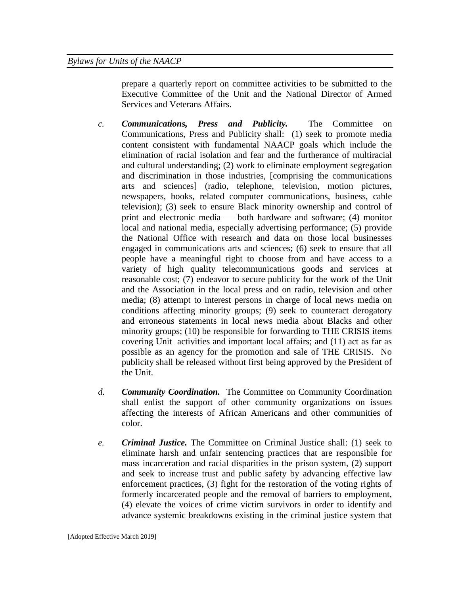prepare a quarterly report on committee activities to be submitted to the Executive Committee of the Unit and the National Director of Armed Services and Veterans Affairs.

- *c. Communications, Press and Publicity.* The Committee on Communications, Press and Publicity shall: (1) seek to promote media content consistent with fundamental NAACP goals which include the elimination of racial isolation and fear and the furtherance of multiracial and cultural understanding; (2) work to eliminate employment segregation and discrimination in those industries, [comprising the communications arts and sciences] (radio, telephone, television, motion pictures, newspapers, books, related computer communications, business, cable television); (3) seek to ensure Black minority ownership and control of print and electronic media — both hardware and software; (4) monitor local and national media, especially advertising performance; (5) provide the National Office with research and data on those local businesses engaged in communications arts and sciences; (6) seek to ensure that all people have a meaningful right to choose from and have access to a variety of high quality telecommunications goods and services at reasonable cost; (7) endeavor to secure publicity for the work of the Unit and the Association in the local press and on radio, television and other media; (8) attempt to interest persons in charge of local news media on conditions affecting minority groups; (9) seek to counteract derogatory and erroneous statements in local news media about Blacks and other minority groups; (10) be responsible for forwarding to THE CRISIS items covering Unit activities and important local affairs; and (11) act as far as possible as an agency for the promotion and sale of THE CRISIS. No publicity shall be released without first being approved by the President of the Unit.
- *d. Community Coordination.* The Committee on Community Coordination shall enlist the support of other community organizations on issues affecting the interests of African Americans and other communities of color.
- *e. Criminal Justice.* The Committee on Criminal Justice shall: (1) seek to eliminate harsh and unfair sentencing practices that are responsible for mass incarceration and racial disparities in the prison system, (2) support and seek to increase trust and public safety by advancing effective law enforcement practices, (3) fight for the restoration of the voting rights of formerly incarcerated people and the removal of barriers to employment, (4) elevate the voices of crime victim survivors in order to identify and advance systemic breakdowns existing in the criminal justice system that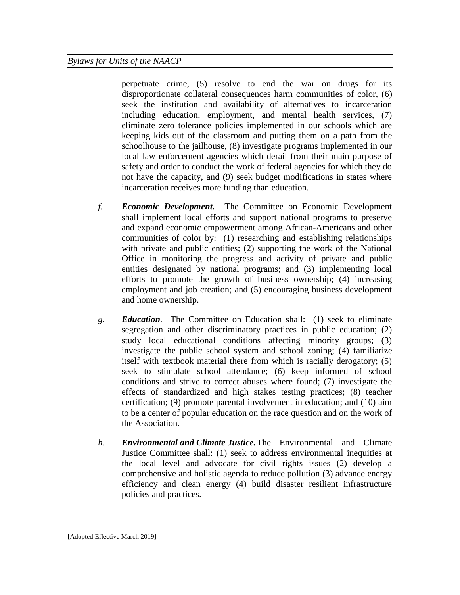perpetuate crime, (5) resolve to end the war on drugs for its disproportionate collateral consequences harm communities of color, (6) seek the institution and availability of alternatives to incarceration including education, employment, and mental health services, (7) eliminate zero tolerance policies implemented in our schools which are keeping kids out of the classroom and putting them on a path from the schoolhouse to the jailhouse, (8) investigate programs implemented in our local law enforcement agencies which derail from their main purpose of safety and order to conduct the work of federal agencies for which they do not have the capacity, and (9) seek budget modifications in states where incarceration receives more funding than education.

- *f. Economic Development.* The Committee on Economic Development shall implement local efforts and support national programs to preserve and expand economic empowerment among African-Americans and other communities of color by: (1) researching and establishing relationships with private and public entities; (2) supporting the work of the National Office in monitoring the progress and activity of private and public entities designated by national programs; and (3) implementing local efforts to promote the growth of business ownership; (4) increasing employment and job creation; and (5) encouraging business development and home ownership.
- *g. Education.* The Committee on Education shall: (1) seek to eliminate segregation and other discriminatory practices in public education; (2) study local educational conditions affecting minority groups; (3) investigate the public school system and school zoning; (4) familiarize itself with textbook material there from which is racially derogatory; (5) seek to stimulate school attendance; (6) keep informed of school conditions and strive to correct abuses where found; (7) investigate the effects of standardized and high stakes testing practices; (8) teacher certification; (9) promote parental involvement in education; and (10) aim to be a center of popular education on the race question and on the work of the Association.
- *h. Environmental and Climate Justice.*The Environmental and Climate Justice Committee shall: (1) seek to address environmental inequities at the local level and advocate for civil rights issues (2) develop a comprehensive and holistic agenda to reduce pollution (3) advance energy efficiency and clean energy (4) build disaster resilient infrastructure policies and practices.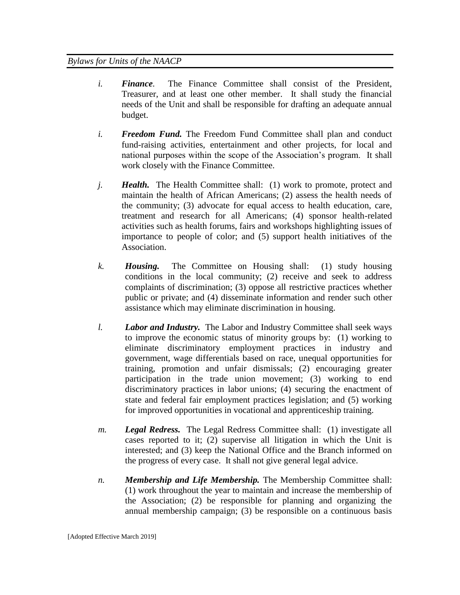- *i. Finance.* The Finance Committee shall consist of the President, Treasurer, and at least one other member. It shall study the financial needs of the Unit and shall be responsible for drafting an adequate annual budget.
- *i. Freedom Fund.* The Freedom Fund Committee shall plan and conduct fund-raising activities, entertainment and other projects, for local and national purposes within the scope of the Association's program. It shall work closely with the Finance Committee.
- *j. Health.* The Health Committee shall: (1) work to promote, protect and maintain the health of African Americans; (2) assess the health needs of the community; (3) advocate for equal access to health education, care, treatment and research for all Americans; (4) sponsor health-related activities such as health forums, fairs and workshops highlighting issues of importance to people of color; and (5) support health initiatives of the Association.
- *k. Housing.* The Committee on Housing shall: (1) study housing conditions in the local community; (2) receive and seek to address complaints of discrimination; (3) oppose all restrictive practices whether public or private; and (4) disseminate information and render such other assistance which may eliminate discrimination in housing.
- *l. Labor and Industry.* The Labor and Industry Committee shall seek ways to improve the economic status of minority groups by: (1) working to eliminate discriminatory employment practices in industry and government, wage differentials based on race, unequal opportunities for training, promotion and unfair dismissals; (2) encouraging greater participation in the trade union movement; (3) working to end discriminatory practices in labor unions; (4) securing the enactment of state and federal fair employment practices legislation; and (5) working for improved opportunities in vocational and apprenticeship training.
- *m. Legal Redress.* The Legal Redress Committee shall: (1) investigate all cases reported to it; (2) supervise all litigation in which the Unit is interested; and (3) keep the National Office and the Branch informed on the progress of every case. It shall not give general legal advice.
- *n. Membership and Life Membership.* The Membership Committee shall: (1) work throughout the year to maintain and increase the membership of the Association; (2) be responsible for planning and organizing the annual membership campaign; (3) be responsible on a continuous basis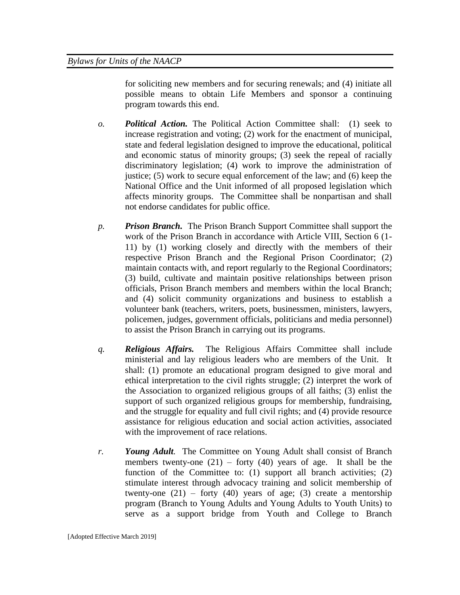for soliciting new members and for securing renewals; and (4) initiate all possible means to obtain Life Members and sponsor a continuing program towards this end.

- *o. Political Action.* The Political Action Committee shall: (1) seek to increase registration and voting; (2) work for the enactment of municipal, state and federal legislation designed to improve the educational, political and economic status of minority groups; (3) seek the repeal of racially discriminatory legislation; (4) work to improve the administration of justice; (5) work to secure equal enforcement of the law; and (6) keep the National Office and the Unit informed of all proposed legislation which affects minority groups. The Committee shall be nonpartisan and shall not endorse candidates for public office.
- *p. Prison Branch.* The Prison Branch Support Committee shall support the work of the Prison Branch in accordance with Article VIII, Section 6 (1- 11) by (1) working closely and directly with the members of their respective Prison Branch and the Regional Prison Coordinator; (2) maintain contacts with, and report regularly to the Regional Coordinators; (3) build, cultivate and maintain positive relationships between prison officials, Prison Branch members and members within the local Branch; and (4) solicit community organizations and business to establish a volunteer bank (teachers, writers, poets, businessmen, ministers, lawyers, policemen, judges, government officials, politicians and media personnel) to assist the Prison Branch in carrying out its programs.
- *q. Religious Affairs.* The Religious Affairs Committee shall include ministerial and lay religious leaders who are members of the Unit. It shall: (1) promote an educational program designed to give moral and ethical interpretation to the civil rights struggle; (2) interpret the work of the Association to organized religious groups of all faiths; (3) enlist the support of such organized religious groups for membership, fundraising, and the struggle for equality and full civil rights; and (4) provide resource assistance for religious education and social action activities, associated with the improvement of race relations.
- *r. Young Adult.* The Committee on Young Adult shall consist of Branch members twenty-one  $(21)$  – forty  $(40)$  years of age. It shall be the function of the Committee to: (1) support all branch activities;  $(2)$ stimulate interest through advocacy training and solicit membership of twenty-one  $(21)$  – forty  $(40)$  years of age;  $(3)$  create a mentorship program (Branch to Young Adults and Young Adults to Youth Units) to serve as a support bridge from Youth and College to Branch